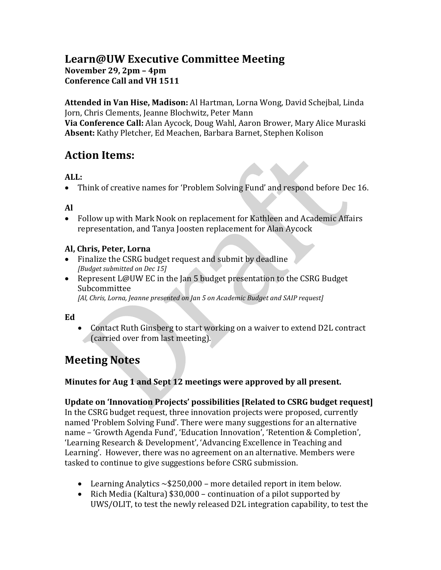# **Learn@UW Executive Committee Meeting November 29, 2pm – 4pm Conference Call and VH 1511**

**Attended in Van Hise, Madison:** Al Hartman, Lorna Wong, David Schejbal, Linda Jorn, Chris Clements, Jeanne Blochwitz, Peter Mann **Via Conference Call:** Alan Aycock, Doug Wahl, Aaron Brower, Mary Alice Muraski **Absent:** Kathy Pletcher, Ed Meachen, Barbara Barnet, Stephen Kolison

# **Action Items:**

## **ALL:**

• Think of creative names for 'Problem Solving Fund' and respond before Dec 16.

### **Al**

• Follow up with Mark Nook on replacement for Kathleen and Academic Affairs representation, and Tanya Joosten replacement for Alan Aycock

### **Al, Chris, Peter, Lorna**

- Finalize the CSRG budget request and submit by deadline *[Budget submitted on Dec 15]*
- Represent L@UW EC in the Jan 5 budget presentation to the CSRG Budget Subcommittee

*[Al, Chris, Lorna, Jeanne presented on Jan 5 on Academic Budget and SAIP request]*

#### **Ed**

• Contact Ruth Ginsberg to start working on a waiver to extend D2L contract (carried over from last meeting).

# **Meeting Notes**

### **Minutes for Aug 1 and Sept 12 meetings were approved by all present.**

**Update on 'Innovation Projects' possibilities [Related to CSRG budget request]**

In the CSRG budget request, three innovation projects were proposed, currently named 'Problem Solving Fund'. There were many suggestions for an alternative name – 'Growth Agenda Fund', 'Education Innovation', 'Retention & Completion', 'Learning Research & Development', 'Advancing Excellence in Teaching and Learning'. However, there was no agreement on an alternative. Members were tasked to continue to give suggestions before CSRG submission.

- Learning Analytics  $\sim$  \$250,000 more detailed report in item below.
- Rich Media (Kaltura) \$30,000 continuation of a pilot supported by UWS/OLIT, to test the newly released D2L integration capability, to test the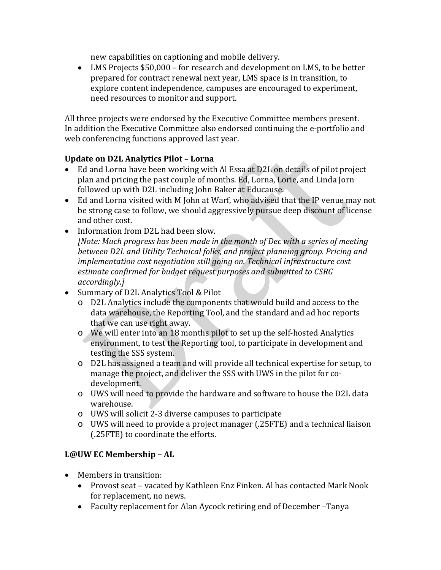new capabilities on captioning and mobile delivery.

• LMS Projects \$50,000 – for research and development on LMS, to be better prepared for contract renewal next year, LMS space is in transition, to explore content independence, campuses are encouraged to experiment, need resources to monitor and support.

All three projects were endorsed by the Executive Committee members present. In addition the Executive Committee also endorsed continuing the e-portfolio and web conferencing functions approved last year.

#### **Update on D2L Analytics Pilot – Lorna**

- Ed and Lorna have been working with Al Essa at D2L on details of pilot project plan and pricing the past couple of months. Ed, Lorna, Lorie, and Linda Jorn followed up with D2L including John Baker at Educause.
- Ed and Lorna visited with M John at Warf, who advised that the IP venue may not be strong case to follow, we should aggressively pursue deep discount of license and other cost.
- Information from D2L had been slow. *[Note: Much progress has been made in the month of Dec with a series of meeting between D2L and Utility Technical folks, and project planning group. Pricing and implementation cost negotiation still going on. Technical infrastructure cost estimate confirmed for budget request purposes and submitted to CSRG accordingly.]*
- Summary of D2L Analytics Tool & Pilot
	- o D2L Analytics include the components that would build and access to the data warehouse, the Reporting Tool, and the standard and ad hoc reports that we can use right away.
	- o We will enter into an 18 months pilot to set up the self-hosted Analytics environment, to test the Reporting tool, to participate in development and testing the SSS system.
	- o D2L has assigned a team and will provide all technical expertise for setup, to manage the project, and deliver the SSS with UWS in the pilot for codevelopment.
	- o UWS will need to provide the hardware and software to house the D2L data warehouse.
	- o UWS will solicit 2-3 diverse campuses to participate
	- o UWS will need to provide a project manager (.25FTE) and a technical liaison (.25FTE) to coordinate the efforts.

## **L@UW EC Membership – AL**

- Members in transition:
	- Provost seat vacated by Kathleen Enz Finken. Al has contacted Mark Nook for replacement, no news.
	- Faculty replacement for Alan Aycock retiring end of December –Tanya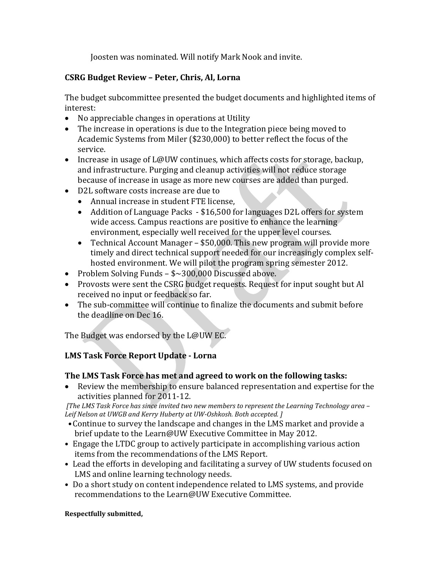Joosten was nominated. Will notify Mark Nook and invite.

### **CSRG Budget Review – Peter, Chris, Al, Lorna**

The budget subcommittee presented the budget documents and highlighted items of interest:

- No appreciable changes in operations at Utility
- The increase in operations is due to the Integration piece being moved to Academic Systems from Miler (\$230,000) to better reflect the focus of the service.
- Increase in usage of L@UW continues, which affects costs for storage, backup, and infrastructure. Purging and cleanup activities will not reduce storage because of increase in usage as more new courses are added than purged.
- D2L software costs increase are due to
	- Annual increase in student FTE license,
	- Addition of Language Packs \$16,500 for languages D2L offers for system wide access. Campus reactions are positive to enhance the learning environment, especially well received for the upper level courses.
	- Technical Account Manager \$50,000. This new program will provide more timely and direct technical support needed for our increasingly complex selfhosted environment. We will pilot the program spring semester 2012.
- Problem Solving Funds \$~300,000 Discussed above.
- Provosts were sent the CSRG budget requests. Request for input sought but Al received no input or feedback so far.
- The sub-committee will continue to finalize the documents and submit before the deadline on Dec 16.

The Budget was endorsed by the L@UW EC.

## **LMS Task Force Report Update - Lorna**

### **The LMS Task Force has met and agreed to work on the following tasks:**

• Review the membership to ensure balanced representation and expertise for the activities planned for 2011-12.

*[The LMS Task Force has since invited two new members to represent the Learning Technology area – Leif Nelson at UWGB and Kerry Huberty at UW-Oshkosh. Both accepted. ]*

- •Continue to survey the landscape and changes in the LMS market and provide a brief update to the Learn@UW Executive Committee in May 2012.
- Engage the LTDC group to actively participate in accomplishing various action items from the recommendations of the LMS Report.
- Lead the efforts in developing and facilitating a survey of UW students focused on LMS and online learning technology needs.
- Do a short study on content independence related to LMS systems, and provide recommendations to the Learn@UW Executive Committee.

#### **Respectfully submitted,**